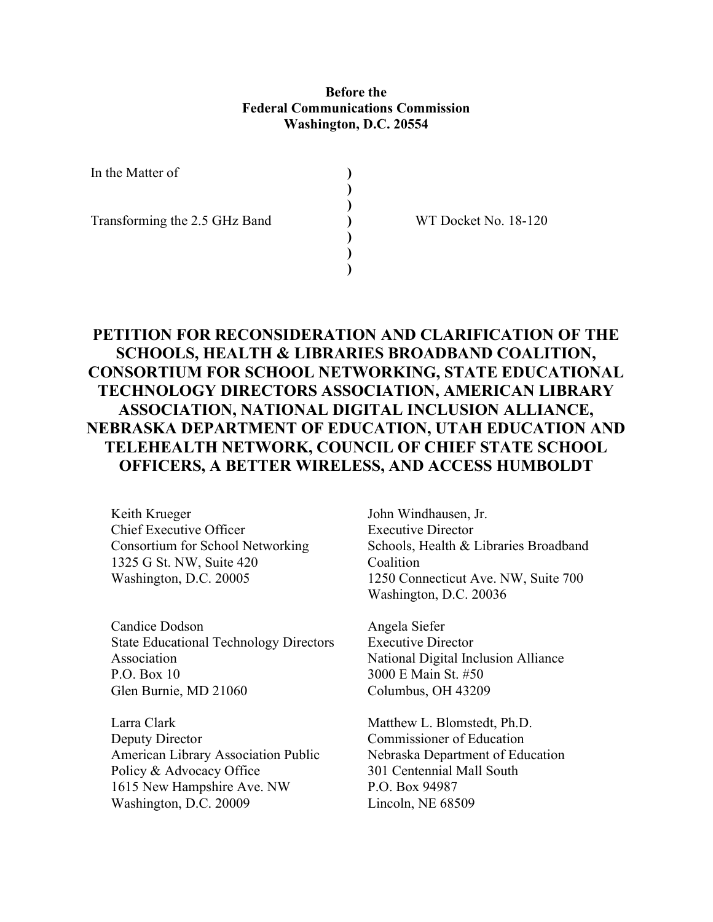## Before the Federal Communications Commission Washington, D.C. 20554

) ) ) ) )  $\overline{)}$  $\overline{)}$ 

In the Matter of

Transforming the 2.5 GHz Band

WT Docket No. 18-120

# PETITION FOR RECONSIDERATION AND CLARIFICATION OF THE SCHOOLS, HEALTH & LIBRARIES BROADBAND COALITION, CONSORTIUM FOR SCHOOL NETWORKING, STATE EDUCATIONAL TECHNOLOGY DIRECTORS ASSOCIATION, AMERICAN LIBRARY ASSOCIATION, NATIONAL DIGITAL INCLUSION ALLIANCE, NEBRASKA DEPARTMENT OF EDUCATION, UTAH EDUCATION AND TELEHEALTH NETWORK, COUNCIL OF CHIEF STATE SCHOOL OFFICERS, A BETTER WIRELESS, AND ACCESS HUMBOLDT

Keith Krueger Chief Executive Officer Consortium for School Networking 1325 G St. NW, Suite 420 Washington, D.C. 20005

Candice Dodson State Educational Technology Directors Association P.O. Box 10 Glen Burnie, MD 21060

Larra Clark Deputy Director American Library Association Public Policy & Advocacy Office 1615 New Hampshire Ave. NW Washington, D.C. 20009

John Windhausen, Jr. Executive Director Schools, Health & Libraries Broadband Coalition 1250 Connecticut Ave. NW, Suite 700 Washington, D.C. 20036

Angela Siefer Executive Director National Digital Inclusion Alliance 3000 E Main St. #50 Columbus, OH 43209

Matthew L. Blomstedt, Ph.D. Commissioner of Education Nebraska Department of Education 301 Centennial Mall South P.O. Box 94987 Lincoln, NE 68509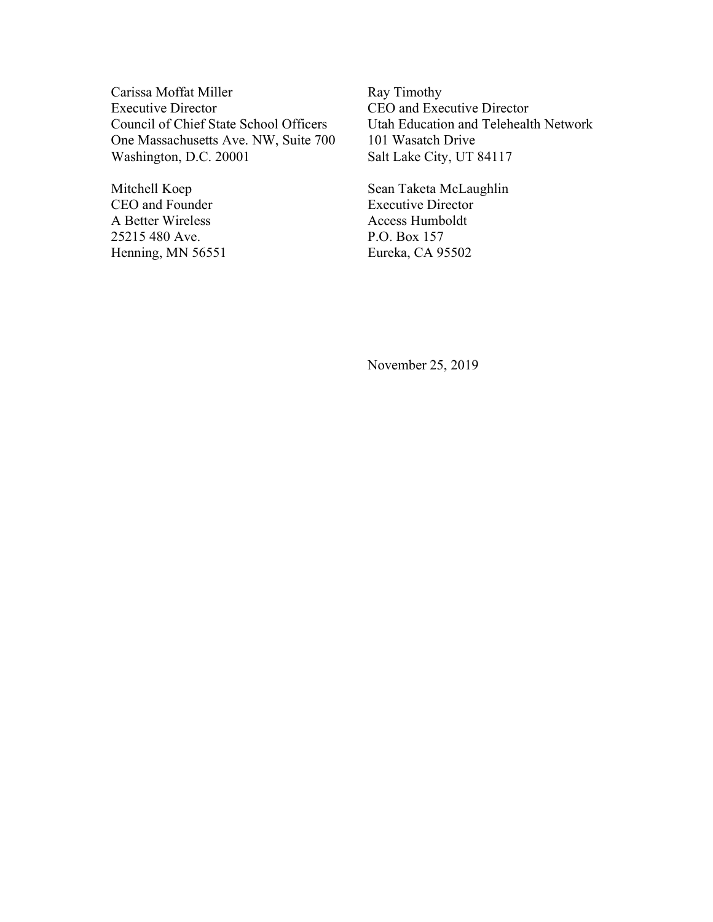Carissa Moffat Miller Executive Director Council of Chief State School Officers One Massachusetts Ave. NW, Suite 700 Washington, D.C. 20001

Mitchell Koep CEO and Founder A Better Wireless 25215 480 Ave. Henning, MN 56551 Ray Timothy CEO and Executive Director Utah Education and Telehealth Network 101 Wasatch Drive Salt Lake City, UT 84117

Sean Taketa McLaughlin Executive Director Access Humboldt P.O. Box 157 Eureka, CA 95502

November 25, 2019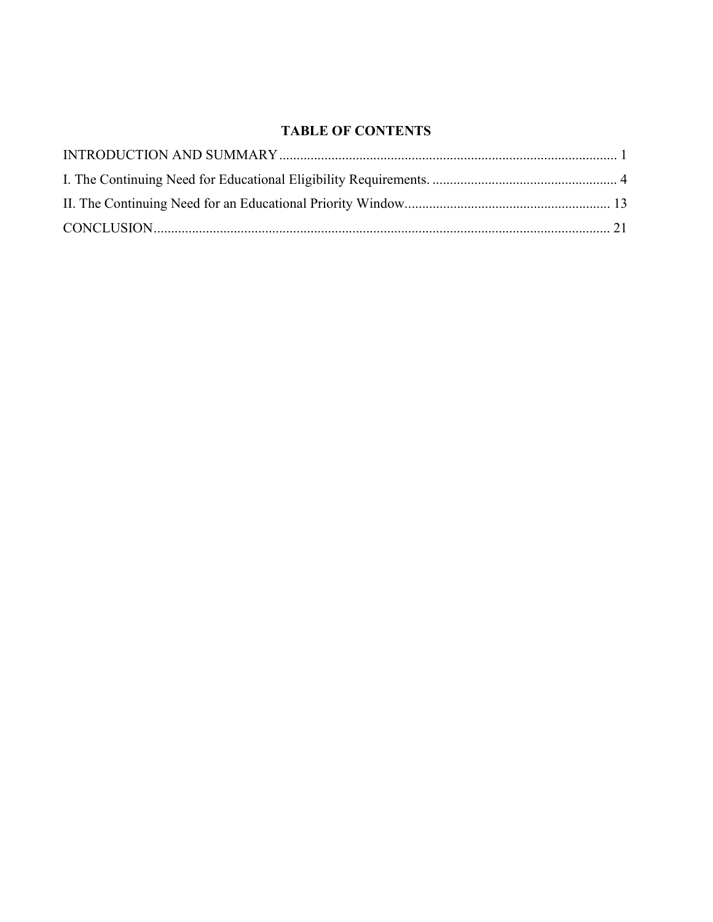## TABLE OF CONTENTS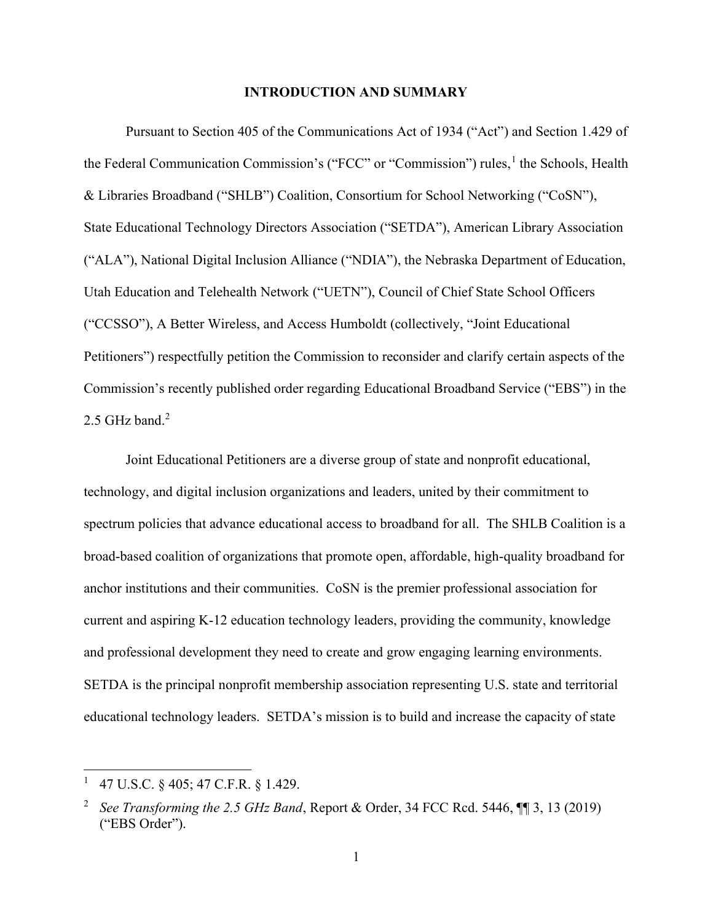#### INTRODUCTION AND SUMMARY

Pursuant to Section 405 of the Communications Act of 1934 ("Act") and Section 1.429 of the Federal Communication Commission's ("FCC" or "Commission") rules,<sup>1</sup> the Schools, Health & Libraries Broadband ("SHLB") Coalition, Consortium for School Networking ("CoSN"), State Educational Technology Directors Association ("SETDA"), American Library Association ("ALA"), National Digital Inclusion Alliance ("NDIA"), the Nebraska Department of Education, Utah Education and Telehealth Network ("UETN"), Council of Chief State School Officers ("CCSSO"), A Better Wireless, and Access Humboldt (collectively, "Joint Educational Petitioners") respectfully petition the Commission to reconsider and clarify certain aspects of the Commission's recently published order regarding Educational Broadband Service ("EBS") in the 2.5 GHz band. $<sup>2</sup>$ </sup>

Joint Educational Petitioners are a diverse group of state and nonprofit educational, technology, and digital inclusion organizations and leaders, united by their commitment to spectrum policies that advance educational access to broadband for all. The SHLB Coalition is a broad-based coalition of organizations that promote open, affordable, high-quality broadband for anchor institutions and their communities. CoSN is the premier professional association for current and aspiring K-12 education technology leaders, providing the community, knowledge and professional development they need to create and grow engaging learning environments. SETDA is the principal nonprofit membership association representing U.S. state and territorial educational technology leaders. SETDA's mission is to build and increase the capacity of state

<sup>1</sup> 47 U.S.C. § 405; 47 C.F.R. § 1.429.

<sup>2</sup> See Transforming the 2.5 GHz Band, Report & Order, 34 FCC Rcd. 5446,  $\P$  3, 13 (2019) ("EBS Order").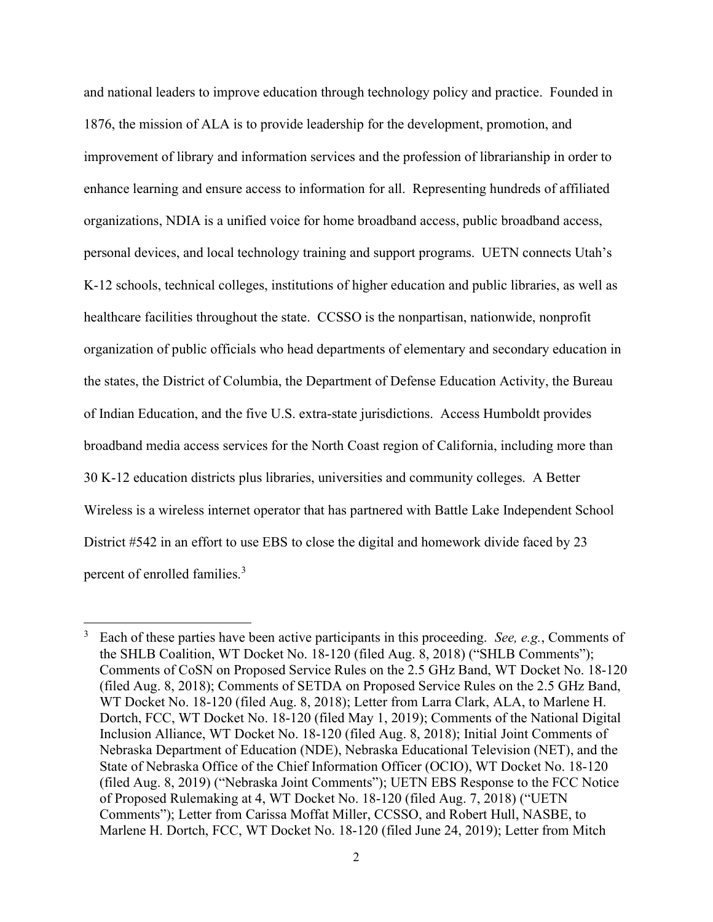and national leaders to improve education through technology policy and practice. Founded in 1876, the mission of ALA is to provide leadership for the development, promotion, and improvement of library and information services and the profession of librarianship in order to enhance learning and ensure access to information for all. Representing hundreds of affiliated organizations, NDIA is a unified voice for home broadband access, public broadband access, personal devices, and local technology training and support programs. UETN connects Utah's K-12 schools, technical colleges, institutions of higher education and public libraries, as well as healthcare facilities throughout the state. CCSSO is the nonpartisan, nationwide, nonprofit organization of public officials who head departments of elementary and secondary education in the states, the District of Columbia, the Department of Defense Education Activity, the Bureau of Indian Education, and the five U.S. extra-state jurisdictions. Access Humboldt provides broadband media access services for the North Coast region of California, including more than 30 K-12 education districts plus libraries, universities and community colleges. A Better Wireless is a wireless internet operator that has partnered with Battle Lake Independent School District #542 in an effort to use EBS to close the digital and homework divide faced by 23 percent of enrolled families.<sup>3</sup>

<sup>3</sup> Each of these parties have been active participants in this proceeding. See, e.g., Comments of the SHLB Coalition, WT Docket No. 18-120 (filed Aug. 8, 2018) ("SHLB Comments"); Comments of CoSN on Proposed Service Rules on the 2.5 GHz Band, WT Docket No. 18-120 (filed Aug. 8, 2018); Comments of SETDA on Proposed Service Rules on the 2.5 GHz Band, WT Docket No. 18-120 (filed Aug. 8, 2018); Letter from Larra Clark, ALA, to Marlene H. Dortch, FCC, WT Docket No. 18-120 (filed May 1, 2019); Comments of the National Digital Inclusion Alliance, WT Docket No. 18-120 (filed Aug. 8, 2018); Initial Joint Comments of Nebraska Department of Education (NDE), Nebraska Educational Television (NET), and the State of Nebraska Office of the Chief Information Officer (OCIO), WT Docket No. 18-120 (filed Aug. 8, 2019) ("Nebraska Joint Comments"); UETN EBS Response to the FCC Notice of Proposed Rulemaking at 4, WT Docket No. 18-120 (filed Aug. 7, 2018) ("UETN Comments"); Letter from Carissa Moffat Miller, CCSSO, and Robert Hull, NASBE, to Marlene H. Dortch, FCC, WT Docket No. 18-120 (filed June 24, 2019); Letter from Mitch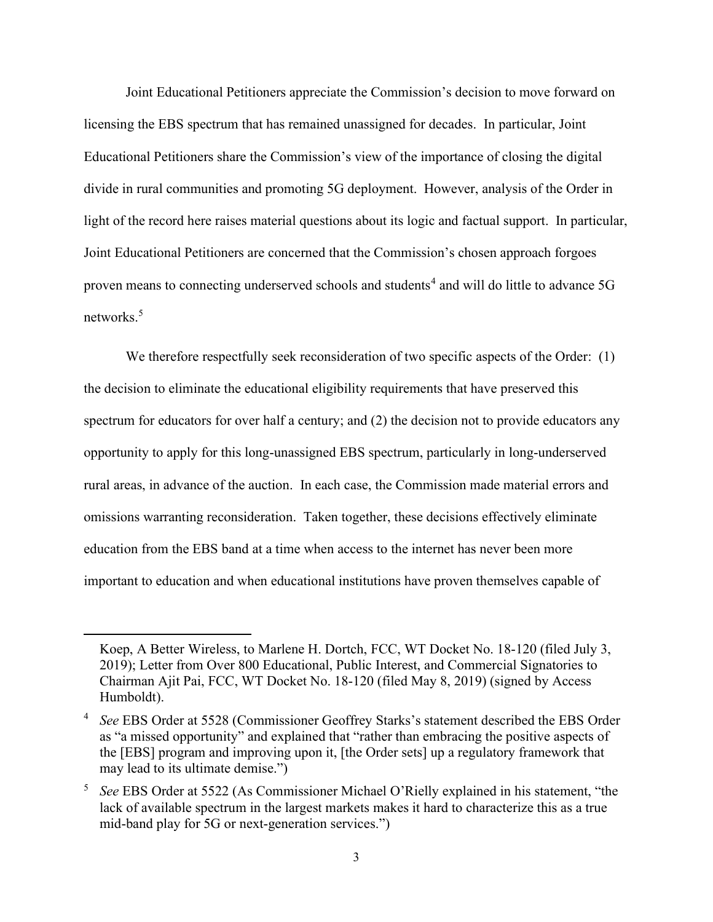Joint Educational Petitioners appreciate the Commission's decision to move forward on licensing the EBS spectrum that has remained unassigned for decades. In particular, Joint Educational Petitioners share the Commission's view of the importance of closing the digital divide in rural communities and promoting 5G deployment. However, analysis of the Order in light of the record here raises material questions about its logic and factual support. In particular, Joint Educational Petitioners are concerned that the Commission's chosen approach forgoes proven means to connecting underserved schools and students<sup>4</sup> and will do little to advance 5G networks.<sup>5</sup>

We therefore respectfully seek reconsideration of two specific aspects of the Order: (1) the decision to eliminate the educational eligibility requirements that have preserved this spectrum for educators for over half a century; and (2) the decision not to provide educators any opportunity to apply for this long-unassigned EBS spectrum, particularly in long-underserved rural areas, in advance of the auction. In each case, the Commission made material errors and omissions warranting reconsideration. Taken together, these decisions effectively eliminate education from the EBS band at a time when access to the internet has never been more important to education and when educational institutions have proven themselves capable of

Koep, A Better Wireless, to Marlene H. Dortch, FCC, WT Docket No. 18-120 (filed July 3, 2019); Letter from Over 800 Educational, Public Interest, and Commercial Signatories to Chairman Ajit Pai, FCC, WT Docket No. 18-120 (filed May 8, 2019) (signed by Access Humboldt).

<sup>4</sup> See EBS Order at 5528 (Commissioner Geoffrey Starks's statement described the EBS Order as "a missed opportunity" and explained that "rather than embracing the positive aspects of the [EBS] program and improving upon it, [the Order sets] up a regulatory framework that may lead to its ultimate demise.")

<sup>&</sup>lt;sup>5</sup> See EBS Order at 5522 (As Commissioner Michael O'Rielly explained in his statement, "the lack of available spectrum in the largest markets makes it hard to characterize this as a true mid-band play for 5G or next-generation services.")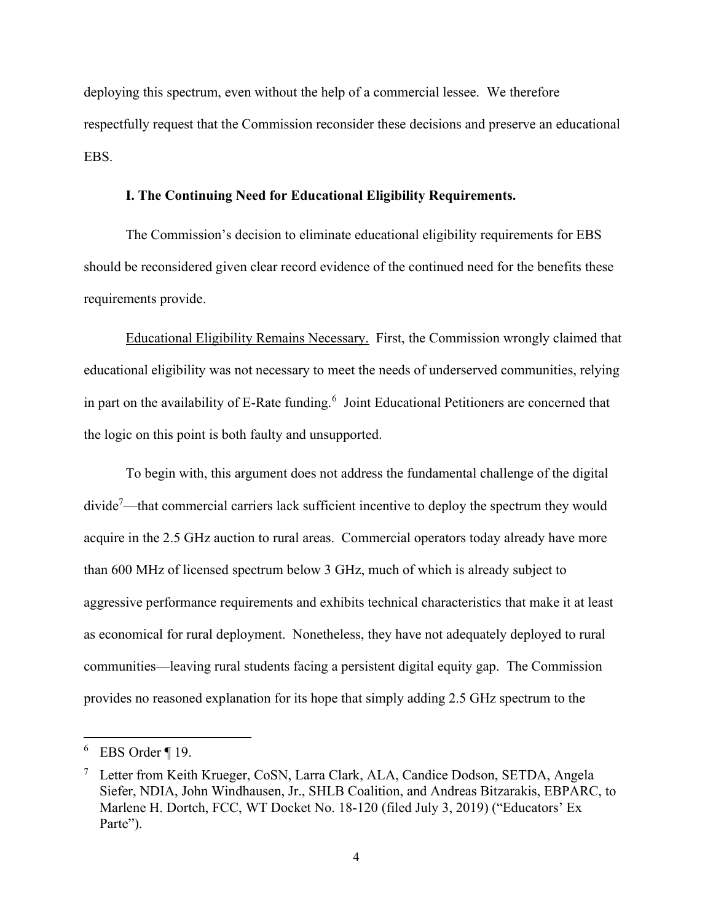deploying this spectrum, even without the help of a commercial lessee. We therefore respectfully request that the Commission reconsider these decisions and preserve an educational EBS.

### I. The Continuing Need for Educational Eligibility Requirements.

The Commission's decision to eliminate educational eligibility requirements for EBS should be reconsidered given clear record evidence of the continued need for the benefits these requirements provide.

Educational Eligibility Remains Necessary. First, the Commission wrongly claimed that educational eligibility was not necessary to meet the needs of underserved communities, relying in part on the availability of E-Rate funding.<sup>6</sup> Joint Educational Petitioners are concerned that the logic on this point is both faulty and unsupported.

To begin with, this argument does not address the fundamental challenge of the digital  $divide^7$ —that commercial carriers lack sufficient incentive to deploy the spectrum they would acquire in the 2.5 GHz auction to rural areas. Commercial operators today already have more than 600 MHz of licensed spectrum below 3 GHz, much of which is already subject to aggressive performance requirements and exhibits technical characteristics that make it at least as economical for rural deployment. Nonetheless, they have not adequately deployed to rural communities—leaving rural students facing a persistent digital equity gap. The Commission provides no reasoned explanation for its hope that simply adding 2.5 GHz spectrum to the

 $6$  EBS Order ¶ 19.

<sup>&</sup>lt;sup>7</sup> Letter from Keith Krueger, CoSN, Larra Clark, ALA, Candice Dodson, SETDA, Angela Siefer, NDIA, John Windhausen, Jr., SHLB Coalition, and Andreas Bitzarakis, EBPARC, to Marlene H. Dortch, FCC, WT Docket No. 18-120 (filed July 3, 2019) ("Educators' Ex Parte").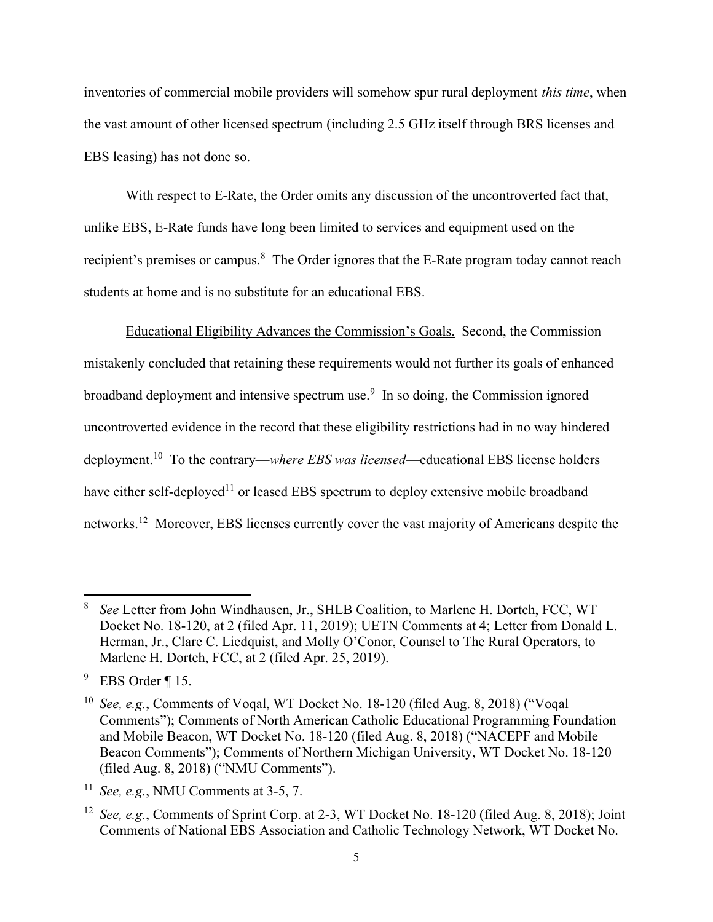inventories of commercial mobile providers will somehow spur rural deployment *this time*, when the vast amount of other licensed spectrum (including 2.5 GHz itself through BRS licenses and EBS leasing) has not done so.

With respect to E-Rate, the Order omits any discussion of the uncontroverted fact that, unlike EBS, E-Rate funds have long been limited to services and equipment used on the recipient's premises or campus.<sup>8</sup> The Order ignores that the E-Rate program today cannot reach students at home and is no substitute for an educational EBS.

Educational Eligibility Advances the Commission's Goals. Second, the Commission mistakenly concluded that retaining these requirements would not further its goals of enhanced broadband deployment and intensive spectrum use.<sup>9</sup> In so doing, the Commission ignored uncontroverted evidence in the record that these eligibility restrictions had in no way hindered deployment.<sup>10</sup> To the contrary—where EBS was licensed—educational EBS license holders have either self-deployed<sup>11</sup> or leased EBS spectrum to deploy extensive mobile broadband networks.<sup>12</sup> Moreover, EBS licenses currently cover the vast majority of Americans despite the

<sup>8</sup> See Letter from John Windhausen, Jr., SHLB Coalition, to Marlene H. Dortch, FCC, WT Docket No. 18-120, at 2 (filed Apr. 11, 2019); UETN Comments at 4; Letter from Donald L. Herman, Jr., Clare C. Liedquist, and Molly O'Conor, Counsel to The Rural Operators, to Marlene H. Dortch, FCC, at 2 (filed Apr. 25, 2019).

 $9$  EBS Order ¶ 15.

<sup>&</sup>lt;sup>10</sup> See, e.g., Comments of Voqal, WT Docket No. 18-120 (filed Aug. 8, 2018) ("Voqal Comments"); Comments of North American Catholic Educational Programming Foundation and Mobile Beacon, WT Docket No. 18-120 (filed Aug. 8, 2018) ("NACEPF and Mobile Beacon Comments"); Comments of Northern Michigan University, WT Docket No. 18-120 (filed Aug. 8, 2018) ("NMU Comments").

<sup>&</sup>lt;sup>11</sup> See, e.g., NMU Comments at 3-5, 7.

<sup>&</sup>lt;sup>12</sup> See, e.g., Comments of Sprint Corp. at 2-3, WT Docket No. 18-120 (filed Aug. 8, 2018); Joint Comments of National EBS Association and Catholic Technology Network, WT Docket No.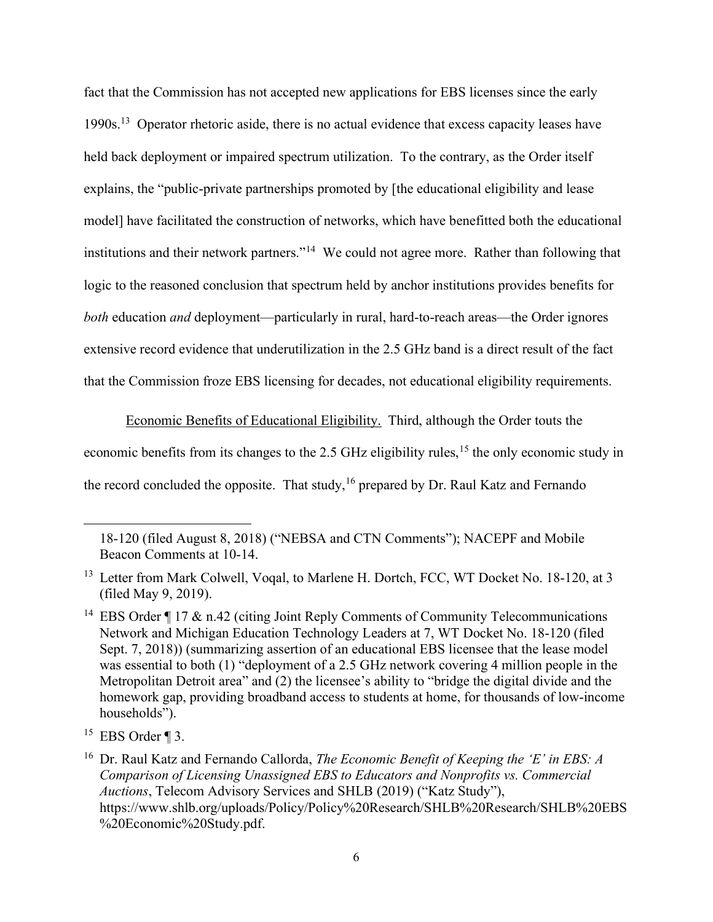fact that the Commission has not accepted new applications for EBS licenses since the early 1990s.<sup>13</sup> Operator rhetoric aside, there is no actual evidence that excess capacity leases have held back deployment or impaired spectrum utilization. To the contrary, as the Order itself explains, the "public-private partnerships promoted by [the educational eligibility and lease model] have facilitated the construction of networks, which have benefitted both the educational institutions and their network partners."<sup>14</sup> We could not agree more. Rather than following that logic to the reasoned conclusion that spectrum held by anchor institutions provides benefits for both education *and* deployment—particularly in rural, hard-to-reach areas—the Order ignores extensive record evidence that underutilization in the 2.5 GHz band is a direct result of the fact that the Commission froze EBS licensing for decades, not educational eligibility requirements.

Economic Benefits of Educational Eligibility. Third, although the Order touts the economic benefits from its changes to the 2.5 GHz eligibility rules,<sup>15</sup> the only economic study in the record concluded the opposite. That study,  $16$  prepared by Dr. Raul Katz and Fernando

<sup>18-120 (</sup>filed August 8, 2018) ("NEBSA and CTN Comments"); NACEPF and Mobile Beacon Comments at 10-14.

<sup>&</sup>lt;sup>13</sup> Letter from Mark Colwell, Voqal, to Marlene H. Dortch, FCC, WT Docket No. 18-120, at 3 (filed May 9, 2019).

<sup>&</sup>lt;sup>14</sup> EBS Order  $\P$  17 & n.42 (citing Joint Reply Comments of Community Telecommunications Network and Michigan Education Technology Leaders at 7, WT Docket No. 18-120 (filed Sept. 7, 2018)) (summarizing assertion of an educational EBS licensee that the lease model was essential to both (1) "deployment of a 2.5 GHz network covering 4 million people in the Metropolitan Detroit area" and (2) the licensee's ability to "bridge the digital divide and the homework gap, providing broadband access to students at home, for thousands of low-income households").

 $15$  EBS Order ¶ 3.

<sup>&</sup>lt;sup>16</sup> Dr. Raul Katz and Fernando Callorda, *The Economic Benefit of Keeping the 'E' in EBS: A* Comparison of Licensing Unassigned EBS to Educators and Nonprofits vs. Commercial Auctions, Telecom Advisory Services and SHLB (2019) ("Katz Study"), https://www.shlb.org/uploads/Policy/Policy%20Research/SHLB%20Research/SHLB%20EBS %20Economic%20Study.pdf.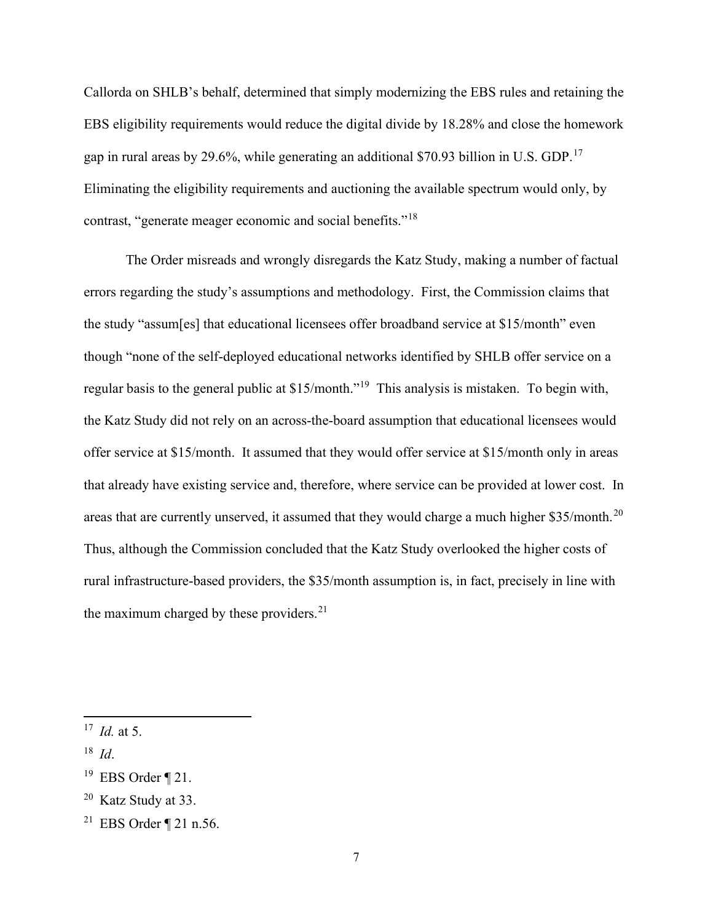Callorda on SHLB's behalf, determined that simply modernizing the EBS rules and retaining the EBS eligibility requirements would reduce the digital divide by 18.28% and close the homework gap in rural areas by 29.6%, while generating an additional \$70.93 billion in U.S. GDP.<sup>17</sup> Eliminating the eligibility requirements and auctioning the available spectrum would only, by contrast, "generate meager economic and social benefits."<sup>18</sup>

The Order misreads and wrongly disregards the Katz Study, making a number of factual errors regarding the study's assumptions and methodology. First, the Commission claims that the study "assum[es] that educational licensees offer broadband service at \$15/month" even though "none of the self-deployed educational networks identified by SHLB offer service on a regular basis to the general public at \$15/month."<sup>19</sup> This analysis is mistaken. To begin with, the Katz Study did not rely on an across-the-board assumption that educational licensees would offer service at \$15/month. It assumed that they would offer service at \$15/month only in areas that already have existing service and, therefore, where service can be provided at lower cost. In areas that are currently unserved, it assumed that they would charge a much higher \$35/month.<sup>20</sup> Thus, although the Commission concluded that the Katz Study overlooked the higher costs of rural infrastructure-based providers, the \$35/month assumption is, in fact, precisely in line with the maximum charged by these providers.<sup>21</sup>

- $18$  *Id.*
- <sup>19</sup> EBS Order  $\P$  21.

 $17$  *Id.* at 5.

 $20$  Katz Study at 33.

<sup>21</sup> EBS Order ¶ 21 n.56.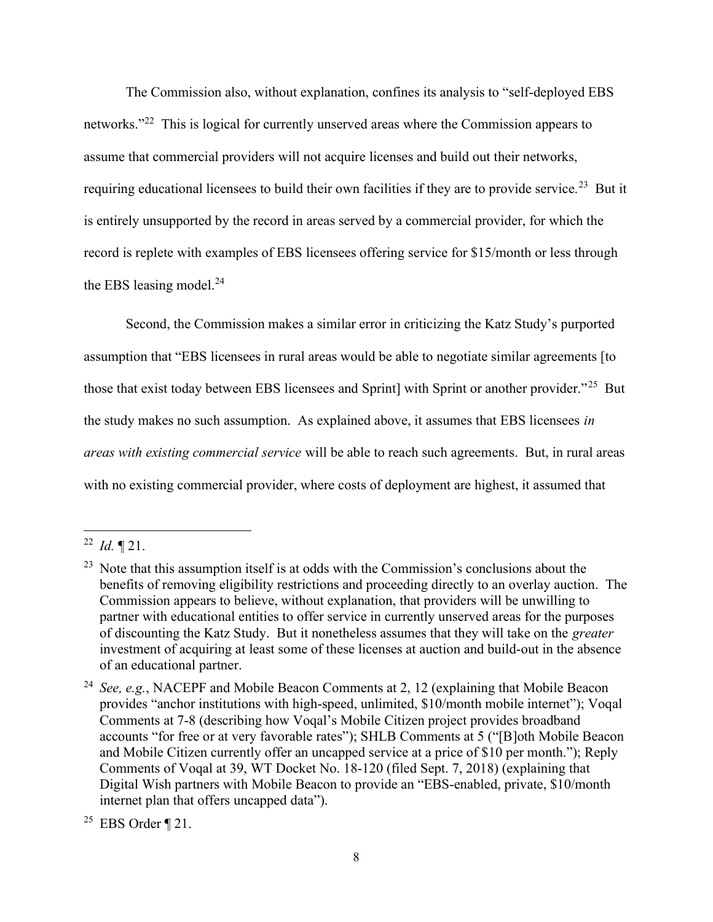The Commission also, without explanation, confines its analysis to "self-deployed EBS networks."<sup>22</sup> This is logical for currently unserved areas where the Commission appears to assume that commercial providers will not acquire licenses and build out their networks, requiring educational licensees to build their own facilities if they are to provide service.<sup>23</sup> But it is entirely unsupported by the record in areas served by a commercial provider, for which the record is replete with examples of EBS licensees offering service for \$15/month or less through the EBS leasing model. $^{24}$ 

Second, the Commission makes a similar error in criticizing the Katz Study's purported assumption that "EBS licensees in rural areas would be able to negotiate similar agreements [to those that exist today between EBS licensees and Sprint] with Sprint or another provider."<sup>25</sup> But the study makes no such assumption. As explained above, it assumes that EBS licensees in areas with existing commercial service will be able to reach such agreements. But, in rural areas with no existing commercial provider, where costs of deployment are highest, it assumed that

<sup>&</sup>lt;sup>22</sup> *Id.*  $\P$  21.

 $23$  Note that this assumption itself is at odds with the Commission's conclusions about the benefits of removing eligibility restrictions and proceeding directly to an overlay auction. The Commission appears to believe, without explanation, that providers will be unwilling to partner with educational entities to offer service in currently unserved areas for the purposes of discounting the Katz Study. But it nonetheless assumes that they will take on the greater investment of acquiring at least some of these licenses at auction and build-out in the absence of an educational partner.

<sup>&</sup>lt;sup>24</sup> See, e.g., NACEPF and Mobile Beacon Comments at 2, 12 (explaining that Mobile Beacon provides "anchor institutions with high-speed, unlimited, \$10/month mobile internet"); Voqal Comments at 7-8 (describing how Voqal's Mobile Citizen project provides broadband accounts "for free or at very favorable rates"); SHLB Comments at 5 ("[B]oth Mobile Beacon and Mobile Citizen currently offer an uncapped service at a price of \$10 per month."); Reply Comments of Voqal at 39, WT Docket No. 18-120 (filed Sept. 7, 2018) (explaining that Digital Wish partners with Mobile Beacon to provide an "EBS-enabled, private, \$10/month internet plan that offers uncapped data").

<sup>&</sup>lt;sup>25</sup> EBS Order ¶ 21.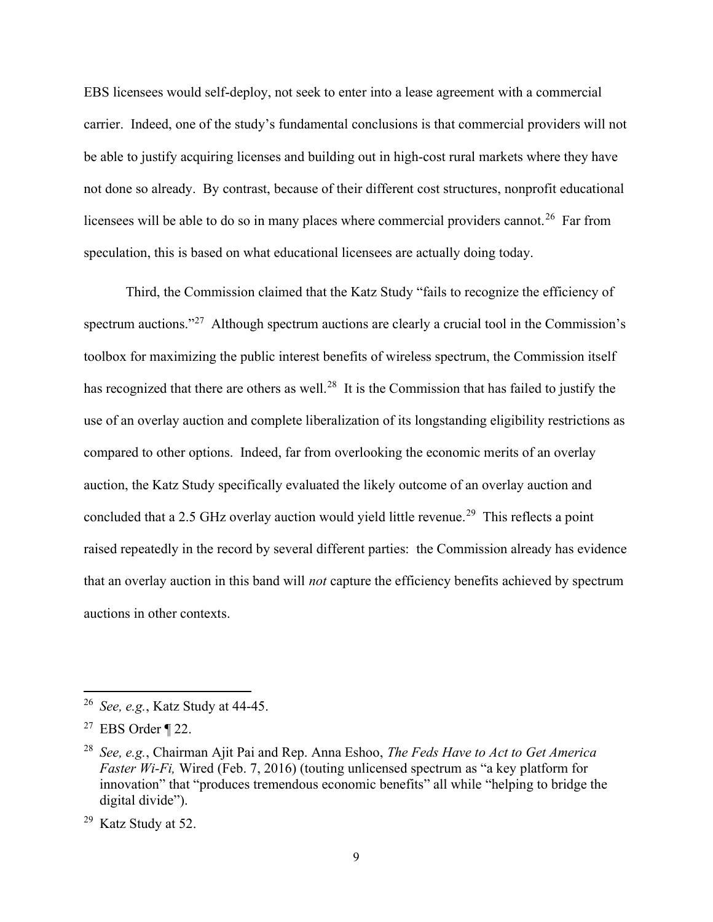EBS licensees would self-deploy, not seek to enter into a lease agreement with a commercial carrier. Indeed, one of the study's fundamental conclusions is that commercial providers will not be able to justify acquiring licenses and building out in high-cost rural markets where they have not done so already. By contrast, because of their different cost structures, nonprofit educational licensees will be able to do so in many places where commercial providers cannot.<sup>26</sup> Far from speculation, this is based on what educational licensees are actually doing today.

Third, the Commission claimed that the Katz Study "fails to recognize the efficiency of spectrum auctions."<sup>27</sup> Although spectrum auctions are clearly a crucial tool in the Commission's toolbox for maximizing the public interest benefits of wireless spectrum, the Commission itself has recognized that there are others as well.<sup>28</sup> It is the Commission that has failed to justify the use of an overlay auction and complete liberalization of its longstanding eligibility restrictions as compared to other options. Indeed, far from overlooking the economic merits of an overlay auction, the Katz Study specifically evaluated the likely outcome of an overlay auction and concluded that a 2.5 GHz overlay auction would yield little revenue.<sup>29</sup> This reflects a point raised repeatedly in the record by several different parties: the Commission already has evidence that an overlay auction in this band will *not* capture the efficiency benefits achieved by spectrum auctions in other contexts.

 $26$  *See, e.g.*, Katz Study at 44-45.

<sup>&</sup>lt;sup>27</sup> EBS Order ¶ 22.

<sup>&</sup>lt;sup>28</sup> See, e.g., Chairman Ajit Pai and Rep. Anna Eshoo, The Feds Have to Act to Get America Faster Wi-Fi, Wired (Feb. 7, 2016) (touting unlicensed spectrum as "a key platform for innovation" that "produces tremendous economic benefits" all while "helping to bridge the digital divide").

<sup>29</sup> Katz Study at 52.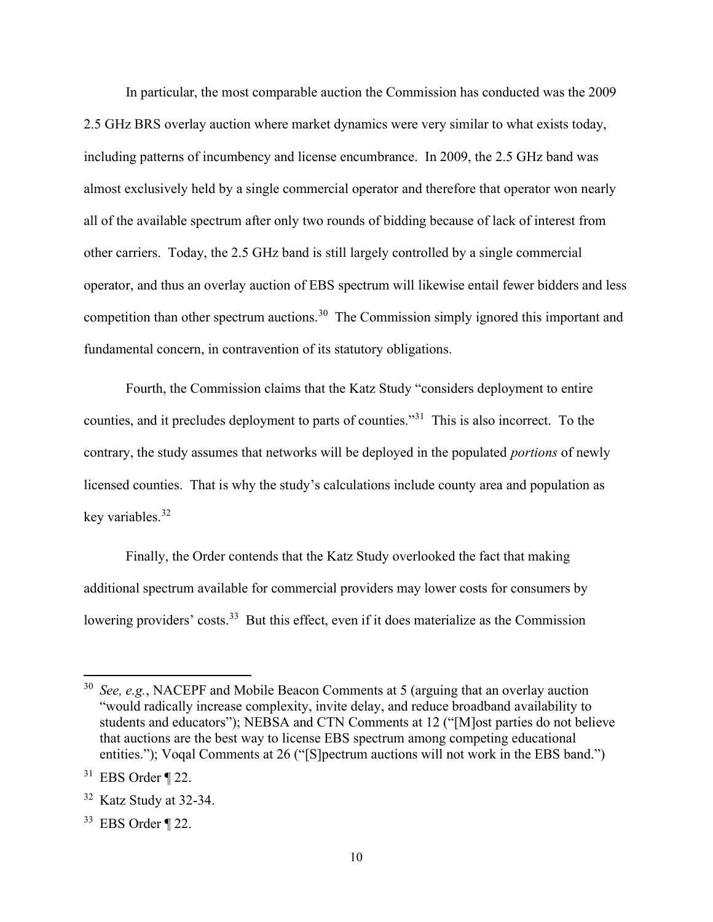In particular, the most comparable auction the Commission has conducted was the 2009 2.5 GHz BRS overlay auction where market dynamics were very similar to what exists today, including patterns of incumbency and license encumbrance. In 2009, the 2.5 GHz band was almost exclusively held by a single commercial operator and therefore that operator won nearly all of the available spectrum after only two rounds of bidding because of lack of interest from other carriers. Today, the 2.5 GHz band is still largely controlled by a single commercial operator, and thus an overlay auction of EBS spectrum will likewise entail fewer bidders and less competition than other spectrum auctions.<sup>30</sup> The Commission simply ignored this important and fundamental concern, in contravention of its statutory obligations.

Fourth, the Commission claims that the Katz Study "considers deployment to entire counties, and it precludes deployment to parts of counties."<sup>31</sup> This is also incorrect. To the contrary, the study assumes that networks will be deployed in the populated *portions* of newly licensed counties. That is why the study's calculations include county area and population as key variables.<sup>32</sup>

Finally, the Order contends that the Katz Study overlooked the fact that making additional spectrum available for commercial providers may lower costs for consumers by lowering providers' costs.<sup>33</sup> But this effect, even if it does materialize as the Commission

 $30$  See, e.g., NACEPF and Mobile Beacon Comments at 5 (arguing that an overlay auction "would radically increase complexity, invite delay, and reduce broadband availability to students and educators"); NEBSA and CTN Comments at 12 ("[M]ost parties do not believe that auctions are the best way to license EBS spectrum among competing educational entities."); Voqal Comments at 26 ("[S]pectrum auctions will not work in the EBS band.")

 $31$  EBS Order ¶ 22.

 $32$  Katz Study at 32-34.

 $33$  EBS Order ¶ 22.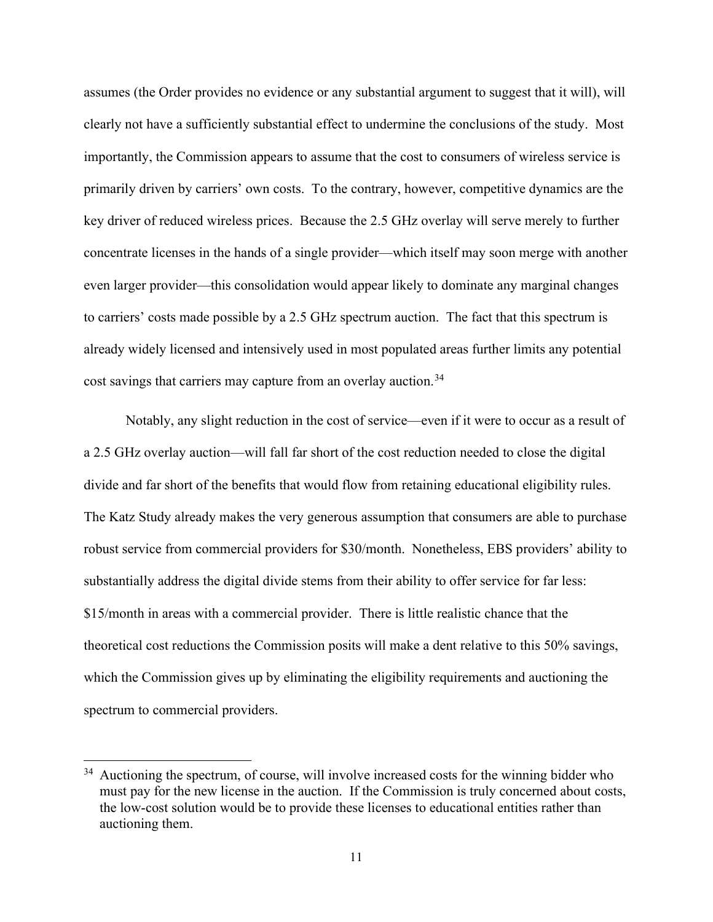assumes (the Order provides no evidence or any substantial argument to suggest that it will), will clearly not have a sufficiently substantial effect to undermine the conclusions of the study. Most importantly, the Commission appears to assume that the cost to consumers of wireless service is primarily driven by carriers' own costs. To the contrary, however, competitive dynamics are the key driver of reduced wireless prices. Because the 2.5 GHz overlay will serve merely to further concentrate licenses in the hands of a single provider—which itself may soon merge with another even larger provider—this consolidation would appear likely to dominate any marginal changes to carriers' costs made possible by a 2.5 GHz spectrum auction. The fact that this spectrum is already widely licensed and intensively used in most populated areas further limits any potential cost savings that carriers may capture from an overlay auction.<sup>34</sup>

Notably, any slight reduction in the cost of service—even if it were to occur as a result of a 2.5 GHz overlay auction—will fall far short of the cost reduction needed to close the digital divide and far short of the benefits that would flow from retaining educational eligibility rules. The Katz Study already makes the very generous assumption that consumers are able to purchase robust service from commercial providers for \$30/month. Nonetheless, EBS providers' ability to substantially address the digital divide stems from their ability to offer service for far less: \$15/month in areas with a commercial provider. There is little realistic chance that the theoretical cost reductions the Commission posits will make a dent relative to this 50% savings, which the Commission gives up by eliminating the eligibility requirements and auctioning the spectrum to commercial providers.

 $34$  Auctioning the spectrum, of course, will involve increased costs for the winning bidder who must pay for the new license in the auction. If the Commission is truly concerned about costs, the low-cost solution would be to provide these licenses to educational entities rather than auctioning them.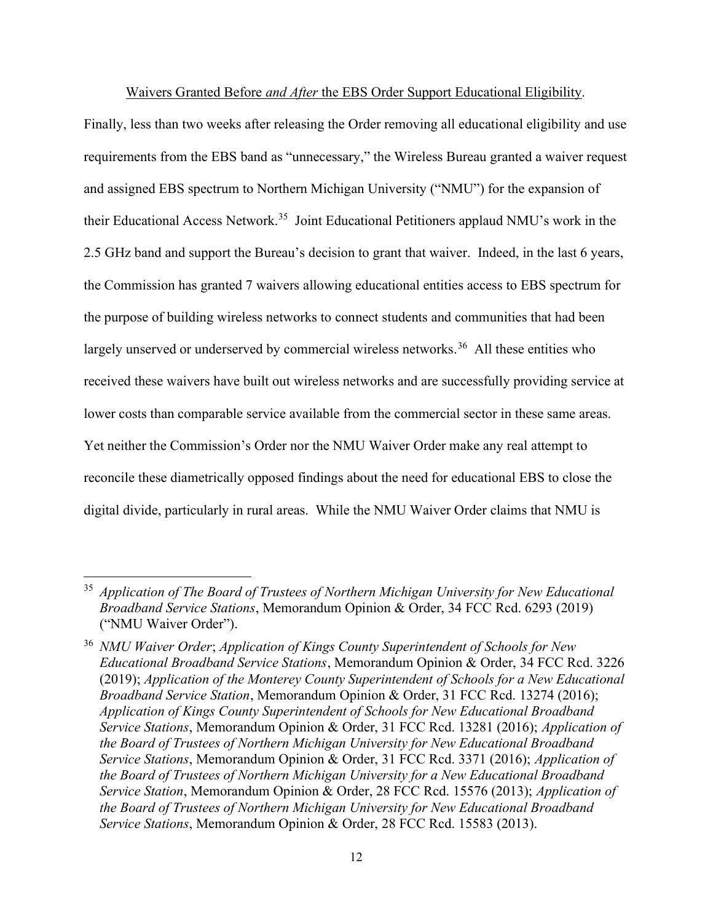Waivers Granted Before and After the EBS Order Support Educational Eligibility.

Finally, less than two weeks after releasing the Order removing all educational eligibility and use requirements from the EBS band as "unnecessary," the Wireless Bureau granted a waiver request and assigned EBS spectrum to Northern Michigan University ("NMU") for the expansion of their Educational Access Network.<sup>35</sup> Joint Educational Petitioners applaud NMU's work in the 2.5 GHz band and support the Bureau's decision to grant that waiver. Indeed, in the last 6 years, the Commission has granted 7 waivers allowing educational entities access to EBS spectrum for the purpose of building wireless networks to connect students and communities that had been largely unserved or underserved by commercial wireless networks.<sup>36</sup> All these entities who received these waivers have built out wireless networks and are successfully providing service at lower costs than comparable service available from the commercial sector in these same areas. Yet neither the Commission's Order nor the NMU Waiver Order make any real attempt to reconcile these diametrically opposed findings about the need for educational EBS to close the digital divide, particularly in rural areas. While the NMU Waiver Order claims that NMU is

 $35$  Application of The Board of Trustees of Northern Michigan University for New Educational Broadband Service Stations, Memorandum Opinion & Order, 34 FCC Rcd. 6293 (2019) ("NMU Waiver Order").

<sup>&</sup>lt;sup>36</sup> NMU Waiver Order; Application of Kings County Superintendent of Schools for New Educational Broadband Service Stations, Memorandum Opinion & Order, 34 FCC Rcd. 3226 (2019); Application of the Monterey County Superintendent of Schools for a New Educational Broadband Service Station, Memorandum Opinion & Order, 31 FCC Rcd. 13274 (2016); Application of Kings County Superintendent of Schools for New Educational Broadband Service Stations, Memorandum Opinion & Order, 31 FCC Rcd. 13281 (2016); Application of the Board of Trustees of Northern Michigan University for New Educational Broadband Service Stations, Memorandum Opinion & Order, 31 FCC Rcd. 3371 (2016); Application of the Board of Trustees of Northern Michigan University for a New Educational Broadband Service Station, Memorandum Opinion & Order, 28 FCC Rcd. 15576 (2013); Application of the Board of Trustees of Northern Michigan University for New Educational Broadband Service Stations, Memorandum Opinion & Order, 28 FCC Rcd. 15583 (2013).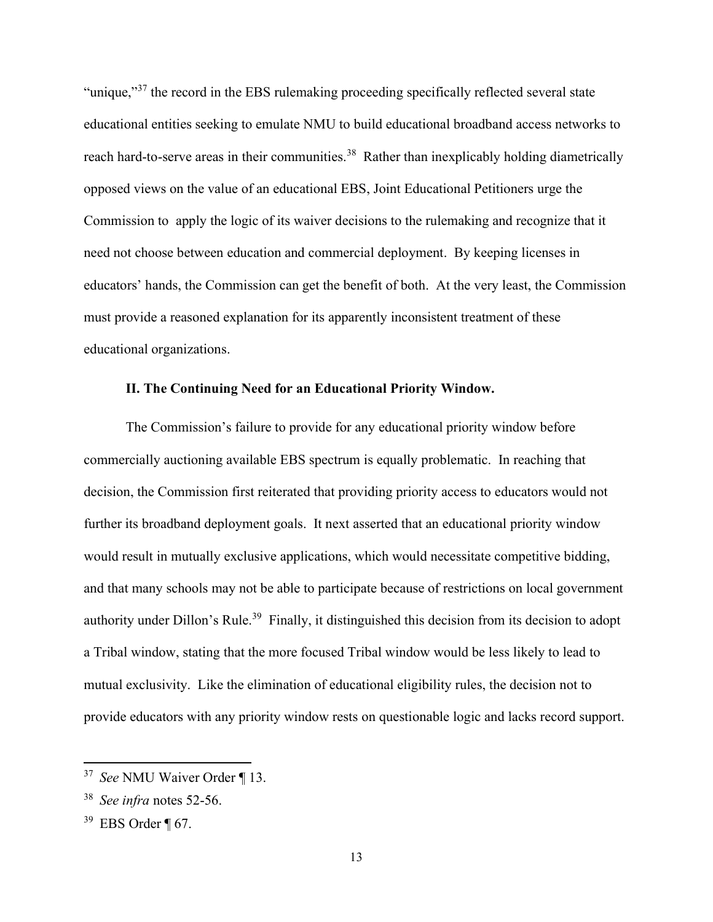"unique,"<sup>37</sup> the record in the EBS rulemaking proceeding specifically reflected several state educational entities seeking to emulate NMU to build educational broadband access networks to reach hard-to-serve areas in their communities.<sup>38</sup> Rather than inexplicably holding diametrically opposed views on the value of an educational EBS, Joint Educational Petitioners urge the Commission to apply the logic of its waiver decisions to the rulemaking and recognize that it need not choose between education and commercial deployment. By keeping licenses in educators' hands, the Commission can get the benefit of both. At the very least, the Commission must provide a reasoned explanation for its apparently inconsistent treatment of these educational organizations.

#### II. The Continuing Need for an Educational Priority Window.

The Commission's failure to provide for any educational priority window before commercially auctioning available EBS spectrum is equally problematic. In reaching that decision, the Commission first reiterated that providing priority access to educators would not further its broadband deployment goals. It next asserted that an educational priority window would result in mutually exclusive applications, which would necessitate competitive bidding, and that many schools may not be able to participate because of restrictions on local government authority under Dillon's Rule.<sup>39</sup> Finally, it distinguished this decision from its decision to adopt a Tribal window, stating that the more focused Tribal window would be less likely to lead to mutual exclusivity. Like the elimination of educational eligibility rules, the decision not to provide educators with any priority window rests on questionable logic and lacks record support.

<sup>&</sup>lt;sup>37</sup> See NMU Waiver Order ¶ 13.

 $38$  See infra notes 52-56.

 $39$  EBS Order ¶ 67.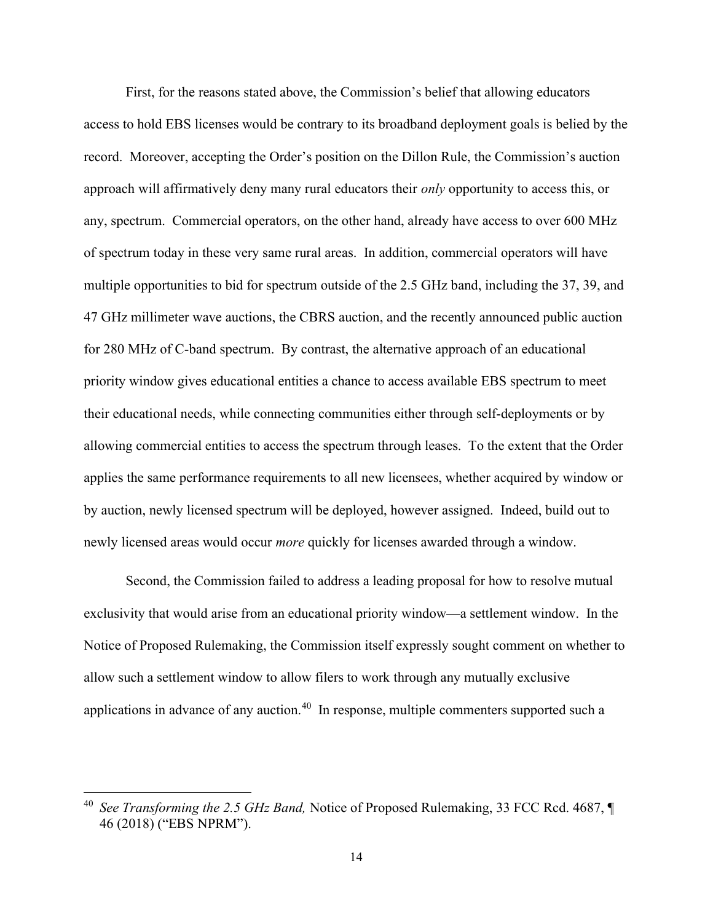First, for the reasons stated above, the Commission's belief that allowing educators access to hold EBS licenses would be contrary to its broadband deployment goals is belied by the record. Moreover, accepting the Order's position on the Dillon Rule, the Commission's auction approach will affirmatively deny many rural educators their only opportunity to access this, or any, spectrum. Commercial operators, on the other hand, already have access to over 600 MHz of spectrum today in these very same rural areas. In addition, commercial operators will have multiple opportunities to bid for spectrum outside of the 2.5 GHz band, including the 37, 39, and 47 GHz millimeter wave auctions, the CBRS auction, and the recently announced public auction for 280 MHz of C-band spectrum. By contrast, the alternative approach of an educational priority window gives educational entities a chance to access available EBS spectrum to meet their educational needs, while connecting communities either through self-deployments or by allowing commercial entities to access the spectrum through leases. To the extent that the Order applies the same performance requirements to all new licensees, whether acquired by window or by auction, newly licensed spectrum will be deployed, however assigned. Indeed, build out to newly licensed areas would occur *more* quickly for licenses awarded through a window.

Second, the Commission failed to address a leading proposal for how to resolve mutual exclusivity that would arise from an educational priority window—a settlement window. In the Notice of Proposed Rulemaking, the Commission itself expressly sought comment on whether to allow such a settlement window to allow filers to work through any mutually exclusive applications in advance of any auction.<sup>40</sup> In response, multiple commenters supported such a

<sup>&</sup>lt;sup>40</sup> See Transforming the 2.5 GHz Band, Notice of Proposed Rulemaking, 33 FCC Rcd. 4687,  $\P$ 46 (2018) ("EBS NPRM").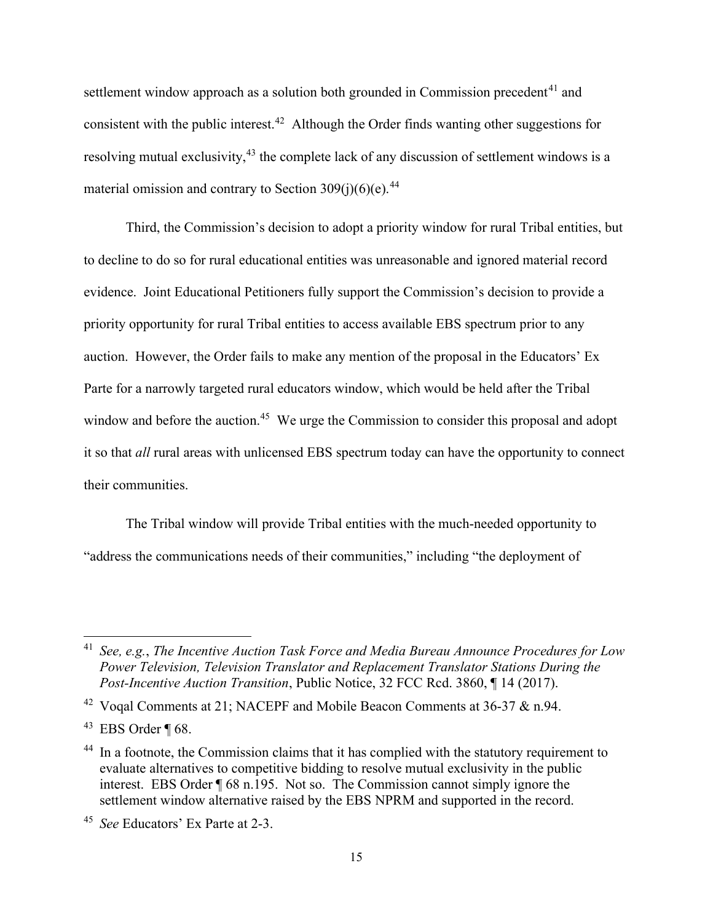settlement window approach as a solution both grounded in Commission precedent<sup> $41$ </sup> and consistent with the public interest.<sup>42</sup> Although the Order finds wanting other suggestions for resolving mutual exclusivity,<sup>43</sup> the complete lack of any discussion of settlement windows is a material omission and contrary to Section  $309(i)(6)(e)$ .<sup>44</sup>

Third, the Commission's decision to adopt a priority window for rural Tribal entities, but to decline to do so for rural educational entities was unreasonable and ignored material record evidence. Joint Educational Petitioners fully support the Commission's decision to provide a priority opportunity for rural Tribal entities to access available EBS spectrum prior to any auction. However, the Order fails to make any mention of the proposal in the Educators' Ex Parte for a narrowly targeted rural educators window, which would be held after the Tribal window and before the auction.<sup>45</sup> We urge the Commission to consider this proposal and adopt it so that all rural areas with unlicensed EBS spectrum today can have the opportunity to connect their communities.

The Tribal window will provide Tribal entities with the much-needed opportunity to "address the communications needs of their communities," including "the deployment of

<sup>&</sup>lt;sup>41</sup> See, e.g., The Incentive Auction Task Force and Media Bureau Announce Procedures for Low Power Television, Television Translator and Replacement Translator Stations During the Post-Incentive Auction Transition, Public Notice, 32 FCC Rcd. 3860, ¶14 (2017).

<sup>&</sup>lt;sup>42</sup> Voqal Comments at 21; NACEPF and Mobile Beacon Comments at 36-37 & n.94.

 $43$  EBS Order ¶ 68.

<sup>&</sup>lt;sup>44</sup> In a footnote, the Commission claims that it has complied with the statutory requirement to evaluate alternatives to competitive bidding to resolve mutual exclusivity in the public interest. EBS Order ¶ 68 n.195. Not so. The Commission cannot simply ignore the settlement window alternative raised by the EBS NPRM and supported in the record.

<sup>&</sup>lt;sup>45</sup> See Educators' Ex Parte at 2-3.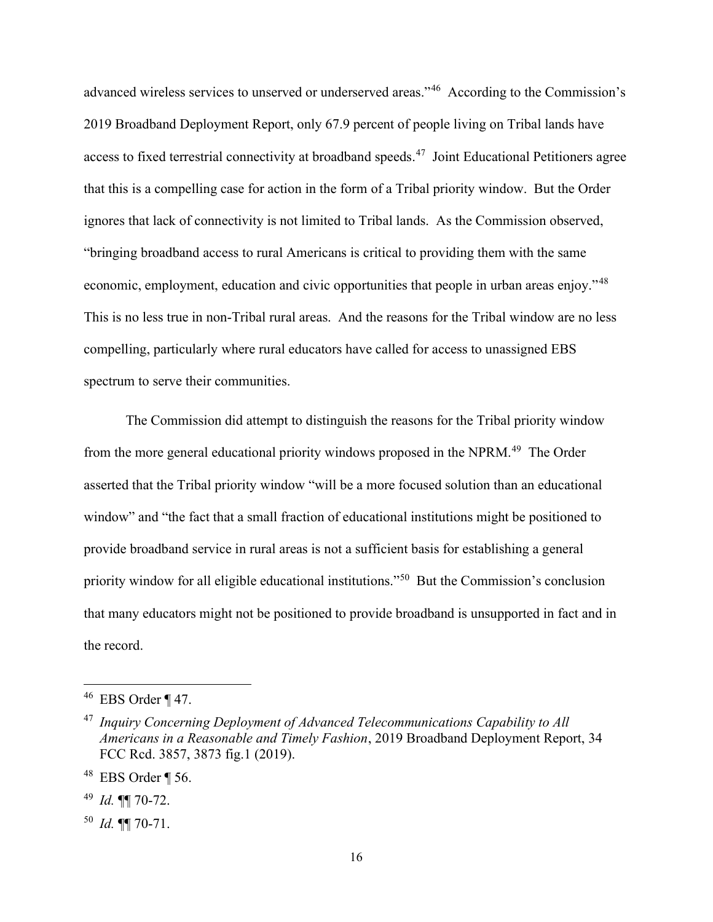advanced wireless services to unserved or underserved areas."<sup>46</sup> According to the Commission's 2019 Broadband Deployment Report, only 67.9 percent of people living on Tribal lands have access to fixed terrestrial connectivity at broadband speeds.<sup>47</sup> Joint Educational Petitioners agree that this is a compelling case for action in the form of a Tribal priority window. But the Order ignores that lack of connectivity is not limited to Tribal lands. As the Commission observed, "bringing broadband access to rural Americans is critical to providing them with the same economic, employment, education and civic opportunities that people in urban areas enjoy."<sup>48</sup> This is no less true in non-Tribal rural areas. And the reasons for the Tribal window are no less compelling, particularly where rural educators have called for access to unassigned EBS spectrum to serve their communities.

The Commission did attempt to distinguish the reasons for the Tribal priority window from the more general educational priority windows proposed in the NPRM.<sup>49</sup> The Order asserted that the Tribal priority window "will be a more focused solution than an educational window" and "the fact that a small fraction of educational institutions might be positioned to provide broadband service in rural areas is not a sufficient basis for establishing a general priority window for all eligible educational institutions."<sup>50</sup> But the Commission's conclusion that many educators might not be positioned to provide broadband is unsupported in fact and in the record.

 $46$  EBS Order ¶ 47.

 $47$  Inquiry Concerning Deployment of Advanced Telecommunications Capability to All Americans in a Reasonable and Timely Fashion, 2019 Broadband Deployment Report, 34 FCC Rcd. 3857, 3873 fig.1 (2019).

 $48$  EBS Order ¶ 56.

<sup>&</sup>lt;sup>49</sup> Id.  $\P$  70-72.

 $^{50}$  *Id.*  $\P$  70-71.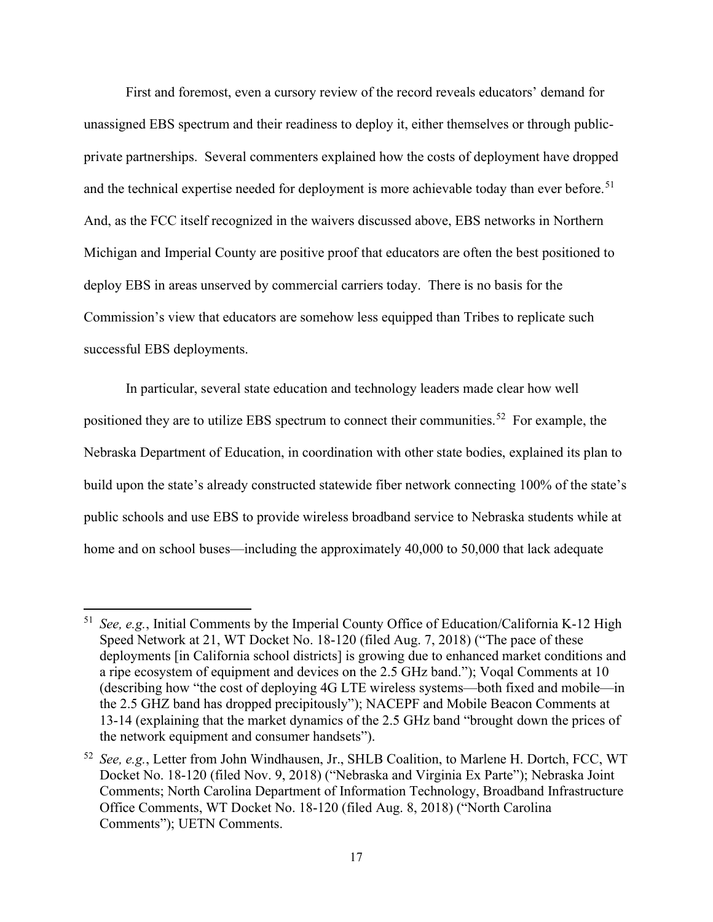First and foremost, even a cursory review of the record reveals educators' demand for unassigned EBS spectrum and their readiness to deploy it, either themselves or through publicprivate partnerships. Several commenters explained how the costs of deployment have dropped and the technical expertise needed for deployment is more achievable today than ever before.<sup>51</sup> And, as the FCC itself recognized in the waivers discussed above, EBS networks in Northern Michigan and Imperial County are positive proof that educators are often the best positioned to deploy EBS in areas unserved by commercial carriers today. There is no basis for the Commission's view that educators are somehow less equipped than Tribes to replicate such successful EBS deployments.

In particular, several state education and technology leaders made clear how well positioned they are to utilize EBS spectrum to connect their communities.<sup>52</sup> For example, the Nebraska Department of Education, in coordination with other state bodies, explained its plan to build upon the state's already constructed statewide fiber network connecting 100% of the state's public schools and use EBS to provide wireless broadband service to Nebraska students while at home and on school buses—including the approximately 40,000 to 50,000 that lack adequate

<sup>&</sup>lt;sup>51</sup> See, e.g., Initial Comments by the Imperial County Office of Education/California K-12 High Speed Network at 21, WT Docket No. 18-120 (filed Aug. 7, 2018) ("The pace of these deployments [in California school districts] is growing due to enhanced market conditions and a ripe ecosystem of equipment and devices on the 2.5 GHz band."); Voqal Comments at 10 (describing how "the cost of deploying 4G LTE wireless systems—both fixed and mobile—in the 2.5 GHZ band has dropped precipitously"); NACEPF and Mobile Beacon Comments at 13-14 (explaining that the market dynamics of the 2.5 GHz band "brought down the prices of the network equipment and consumer handsets").

 $52$  See, e.g., Letter from John Windhausen, Jr., SHLB Coalition, to Marlene H. Dortch, FCC, WT Docket No. 18-120 (filed Nov. 9, 2018) ("Nebraska and Virginia Ex Parte"); Nebraska Joint Comments; North Carolina Department of Information Technology, Broadband Infrastructure Office Comments, WT Docket No. 18-120 (filed Aug. 8, 2018) ("North Carolina Comments"); UETN Comments.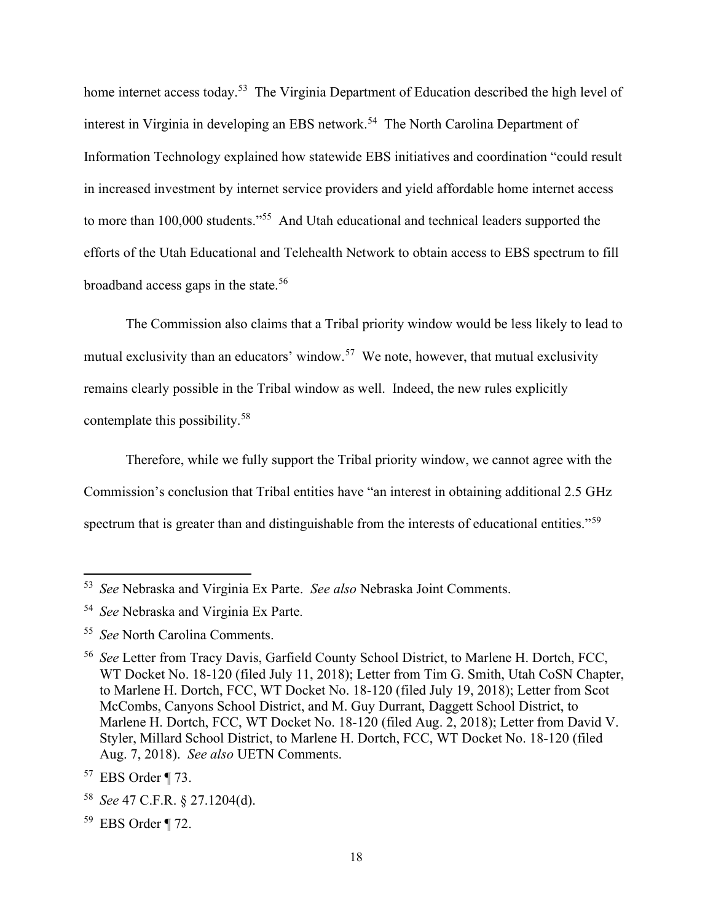home internet access today.<sup>53</sup> The Virginia Department of Education described the high level of interest in Virginia in developing an EBS network.<sup>54</sup> The North Carolina Department of Information Technology explained how statewide EBS initiatives and coordination "could result in increased investment by internet service providers and yield affordable home internet access to more than 100,000 students."<sup>55</sup> And Utah educational and technical leaders supported the efforts of the Utah Educational and Telehealth Network to obtain access to EBS spectrum to fill broadband access gaps in the state.<sup>56</sup>

The Commission also claims that a Tribal priority window would be less likely to lead to mutual exclusivity than an educators' window.<sup>57</sup> We note, however, that mutual exclusivity remains clearly possible in the Tribal window as well. Indeed, the new rules explicitly contemplate this possibility.<sup>58</sup>

Therefore, while we fully support the Tribal priority window, we cannot agree with the Commission's conclusion that Tribal entities have "an interest in obtaining additional 2.5 GHz spectrum that is greater than and distinguishable from the interests of educational entities."<sup>59</sup>

55 See North Carolina Comments.

<sup>&</sup>lt;sup>53</sup> See Nebraska and Virginia Ex Parte. See also Nebraska Joint Comments.

<sup>&</sup>lt;sup>54</sup> See Nebraska and Virginia Ex Parte.

<sup>&</sup>lt;sup>56</sup> See Letter from Tracy Davis, Garfield County School District, to Marlene H. Dortch, FCC, WT Docket No. 18-120 (filed July 11, 2018); Letter from Tim G. Smith, Utah CoSN Chapter, to Marlene H. Dortch, FCC, WT Docket No. 18-120 (filed July 19, 2018); Letter from Scot McCombs, Canyons School District, and M. Guy Durrant, Daggett School District, to Marlene H. Dortch, FCC, WT Docket No. 18-120 (filed Aug. 2, 2018); Letter from David V. Styler, Millard School District, to Marlene H. Dortch, FCC, WT Docket No. 18-120 (filed Aug. 7, 2018). See also UETN Comments.

<sup>57</sup> EBS Order ¶ 73.

<sup>58</sup> See 47 C.F.R. § 27.1204(d).

<sup>59</sup> EBS Order ¶ 72.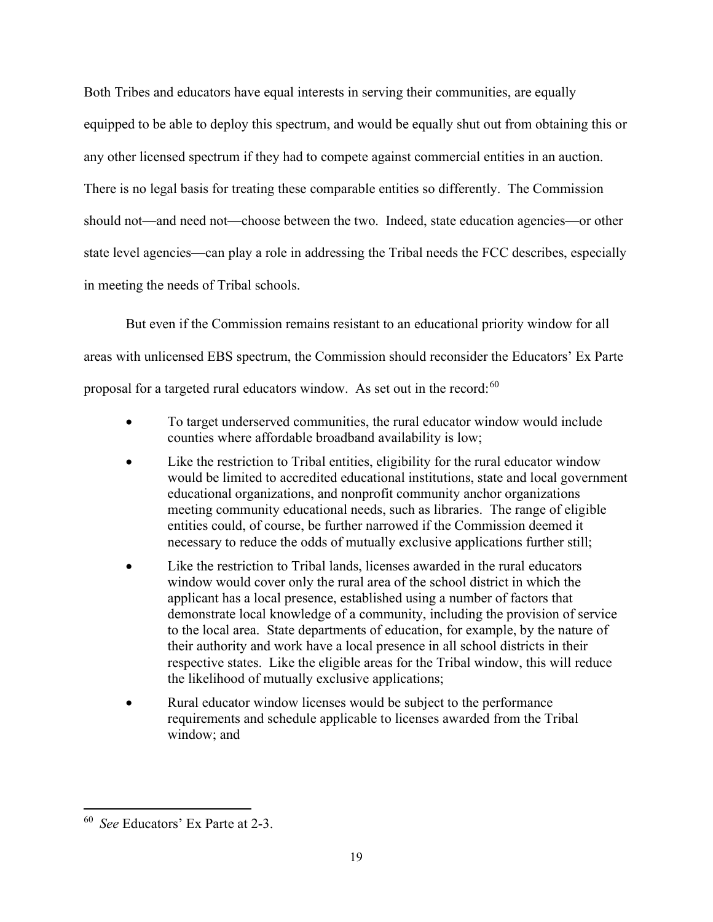Both Tribes and educators have equal interests in serving their communities, are equally equipped to be able to deploy this spectrum, and would be equally shut out from obtaining this or any other licensed spectrum if they had to compete against commercial entities in an auction. There is no legal basis for treating these comparable entities so differently. The Commission should not—and need not—choose between the two. Indeed, state education agencies—or other state level agencies—can play a role in addressing the Tribal needs the FCC describes, especially in meeting the needs of Tribal schools.

But even if the Commission remains resistant to an educational priority window for all areas with unlicensed EBS spectrum, the Commission should reconsider the Educators' Ex Parte proposal for a targeted rural educators window. As set out in the record:<sup>60</sup>

- To target underserved communities, the rural educator window would include counties where affordable broadband availability is low;
- Like the restriction to Tribal entities, eligibility for the rural educator window would be limited to accredited educational institutions, state and local government educational organizations, and nonprofit community anchor organizations meeting community educational needs, such as libraries. The range of eligible entities could, of course, be further narrowed if the Commission deemed it necessary to reduce the odds of mutually exclusive applications further still;
- Like the restriction to Tribal lands, licenses awarded in the rural educators window would cover only the rural area of the school district in which the applicant has a local presence, established using a number of factors that demonstrate local knowledge of a community, including the provision of service to the local area. State departments of education, for example, by the nature of their authority and work have a local presence in all school districts in their respective states. Like the eligible areas for the Tribal window, this will reduce the likelihood of mutually exclusive applications;
- Rural educator window licenses would be subject to the performance requirements and schedule applicable to licenses awarded from the Tribal window; and

<sup>60</sup> See Educators' Ex Parte at 2-3.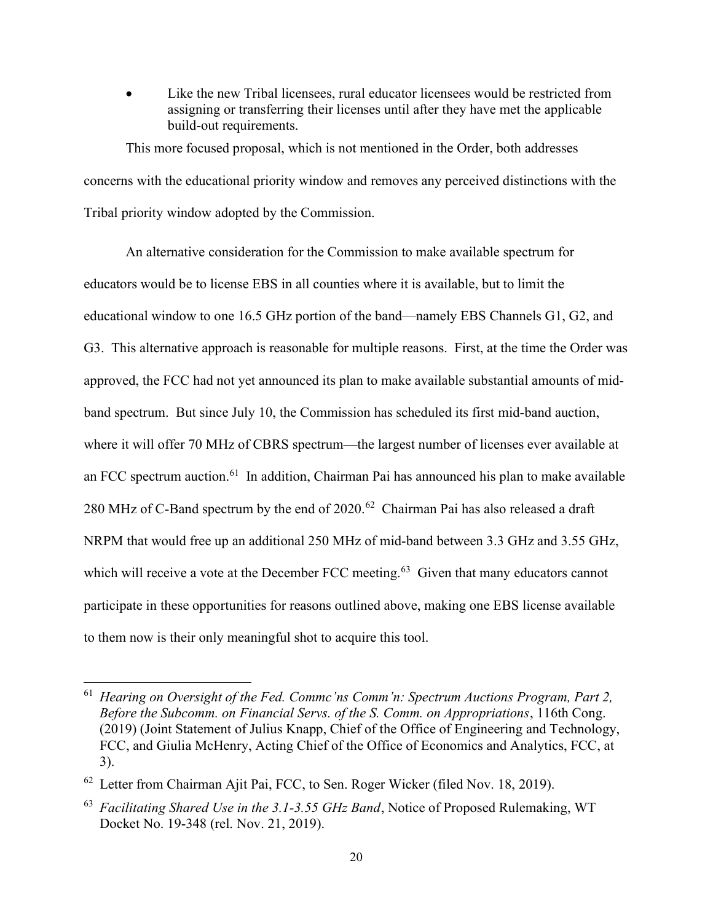Like the new Tribal licensees, rural educator licensees would be restricted from assigning or transferring their licenses until after they have met the applicable build-out requirements.

This more focused proposal, which is not mentioned in the Order, both addresses concerns with the educational priority window and removes any perceived distinctions with the Tribal priority window adopted by the Commission.

An alternative consideration for the Commission to make available spectrum for educators would be to license EBS in all counties where it is available, but to limit the educational window to one 16.5 GHz portion of the band—namely EBS Channels G1, G2, and G3. This alternative approach is reasonable for multiple reasons. First, at the time the Order was approved, the FCC had not yet announced its plan to make available substantial amounts of midband spectrum. But since July 10, the Commission has scheduled its first mid-band auction, where it will offer 70 MHz of CBRS spectrum—the largest number of licenses ever available at an FCC spectrum auction.<sup>61</sup> In addition, Chairman Pai has announced his plan to make available 280 MHz of C-Band spectrum by the end of  $2020$ .<sup>62</sup> Chairman Pai has also released a draft NRPM that would free up an additional 250 MHz of mid-band between 3.3 GHz and 3.55 GHz, which will receive a vote at the December FCC meeting.<sup>63</sup> Given that many educators cannot participate in these opportunities for reasons outlined above, making one EBS license available to them now is their only meaningful shot to acquire this tool.

 $61$  Hearing on Oversight of the Fed. Commc'ns Comm'n: Spectrum Auctions Program, Part 2, Before the Subcomm. on Financial Servs. of the S. Comm. on Appropriations, 116th Cong. (2019) (Joint Statement of Julius Knapp, Chief of the Office of Engineering and Technology, FCC, and Giulia McHenry, Acting Chief of the Office of Economics and Analytics, FCC, at 3).

 $62$  Letter from Chairman Ajit Pai, FCC, to Sen. Roger Wicker (filed Nov. 18, 2019).

 $^{63}$  Facilitating Shared Use in the 3.1-3.55 GHz Band, Notice of Proposed Rulemaking, WT Docket No. 19-348 (rel. Nov. 21, 2019).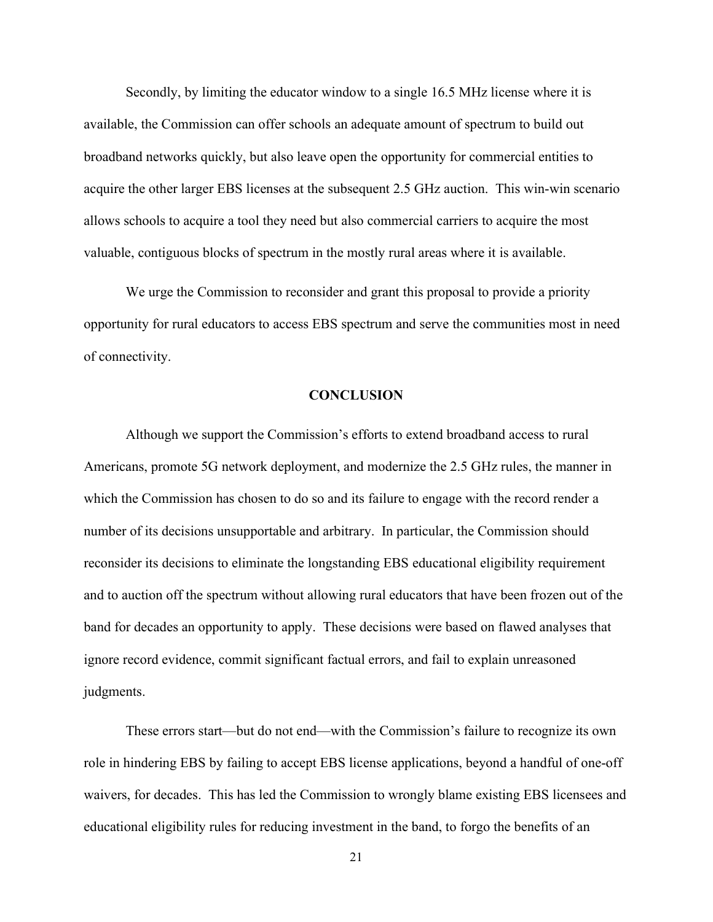Secondly, by limiting the educator window to a single 16.5 MHz license where it is available, the Commission can offer schools an adequate amount of spectrum to build out broadband networks quickly, but also leave open the opportunity for commercial entities to acquire the other larger EBS licenses at the subsequent 2.5 GHz auction. This win-win scenario allows schools to acquire a tool they need but also commercial carriers to acquire the most valuable, contiguous blocks of spectrum in the mostly rural areas where it is available.

We urge the Commission to reconsider and grant this proposal to provide a priority opportunity for rural educators to access EBS spectrum and serve the communities most in need of connectivity.

#### **CONCLUSION**

Although we support the Commission's efforts to extend broadband access to rural Americans, promote 5G network deployment, and modernize the 2.5 GHz rules, the manner in which the Commission has chosen to do so and its failure to engage with the record render a number of its decisions unsupportable and arbitrary. In particular, the Commission should reconsider its decisions to eliminate the longstanding EBS educational eligibility requirement and to auction off the spectrum without allowing rural educators that have been frozen out of the band for decades an opportunity to apply. These decisions were based on flawed analyses that ignore record evidence, commit significant factual errors, and fail to explain unreasoned judgments.

These errors start—but do not end—with the Commission's failure to recognize its own role in hindering EBS by failing to accept EBS license applications, beyond a handful of one-off waivers, for decades. This has led the Commission to wrongly blame existing EBS licensees and educational eligibility rules for reducing investment in the band, to forgo the benefits of an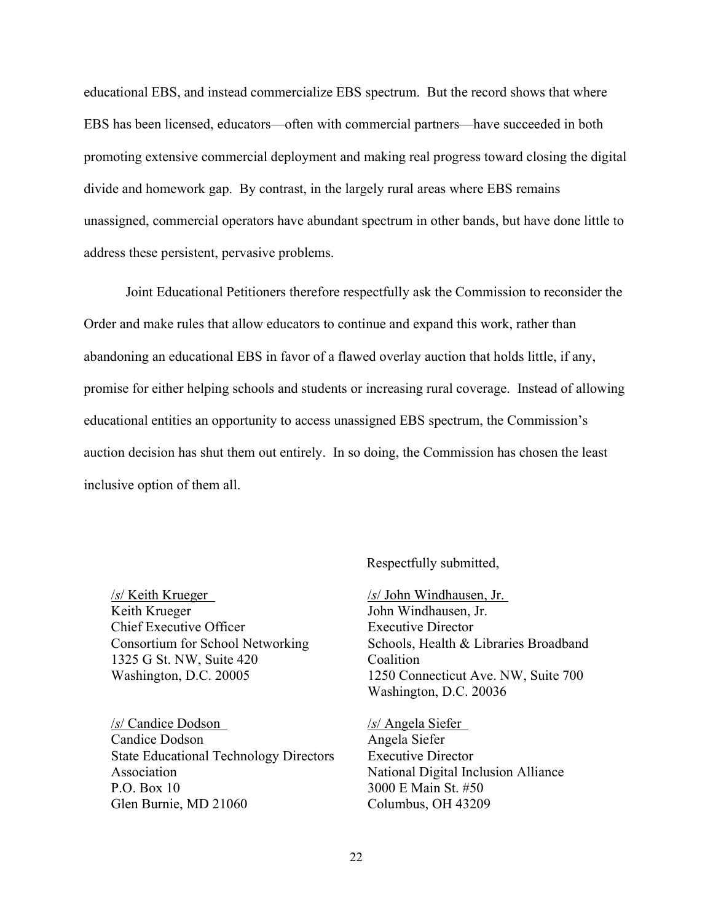educational EBS, and instead commercialize EBS spectrum. But the record shows that where EBS has been licensed, educators—often with commercial partners—have succeeded in both promoting extensive commercial deployment and making real progress toward closing the digital divide and homework gap. By contrast, in the largely rural areas where EBS remains unassigned, commercial operators have abundant spectrum in other bands, but have done little to address these persistent, pervasive problems.

Joint Educational Petitioners therefore respectfully ask the Commission to reconsider the Order and make rules that allow educators to continue and expand this work, rather than abandoning an educational EBS in favor of a flawed overlay auction that holds little, if any, promise for either helping schools and students or increasing rural coverage. Instead of allowing educational entities an opportunity to access unassigned EBS spectrum, the Commission's auction decision has shut them out entirely. In so doing, the Commission has chosen the least inclusive option of them all.

Respectfully submitted,

 $/s$ / Keith Krueger Keith Krueger Chief Executive Officer Consortium for School Networking 1325 G St. NW, Suite 420 Washington, D.C. 20005

/s/ Candice Dodson Candice Dodson State Educational Technology Directors Association P.O. Box 10 Glen Burnie, MD 21060

/s/ John Windhausen, Jr. John Windhausen, Jr. Executive Director Schools, Health & Libraries Broadband **Coalition** 1250 Connecticut Ave. NW, Suite 700 Washington, D.C. 20036

/s/ Angela Siefer Angela Siefer Executive Director National Digital Inclusion Alliance 3000 E Main St. #50 Columbus, OH 43209